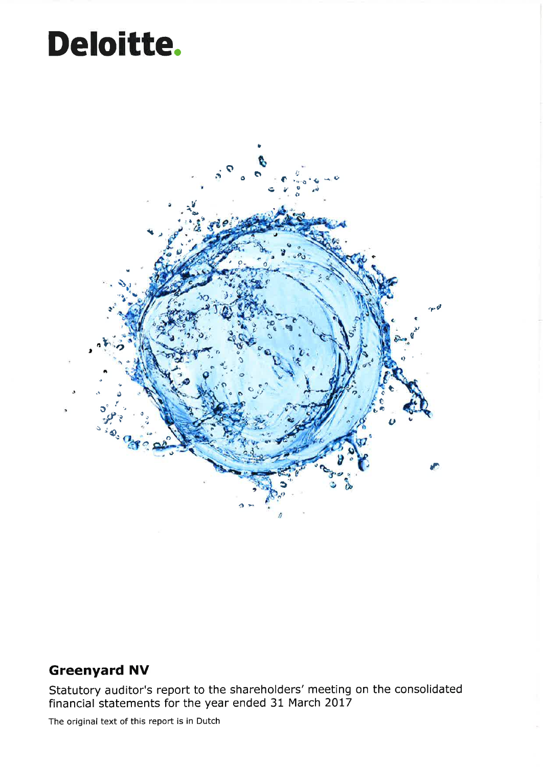## Deloitte.



### **Greenyard NV**

Statutory auditor's report to the shareholders' meeting on the consolidated financial statements for the year ended 31 March 2017

The original text of this report is in Dutch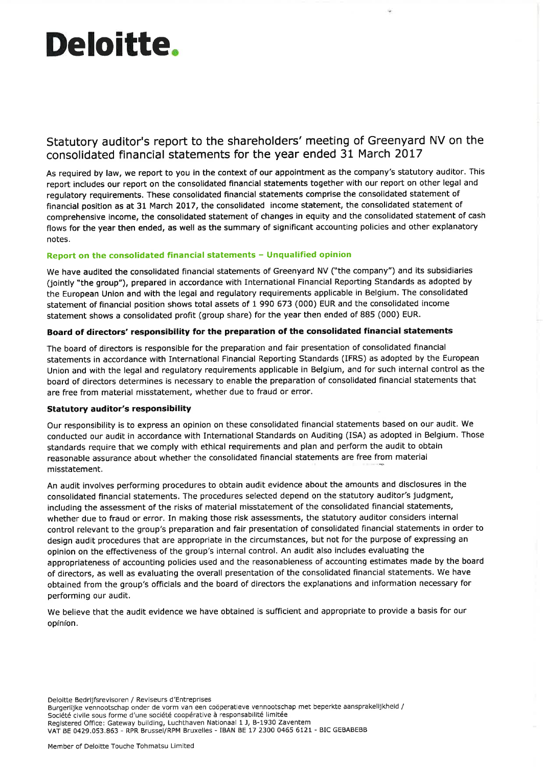# Deloittê.

### Statutory auditor's report to the shareholders' meeting of Greenyard NV on the consolidated financial statements for the year ended 31 March 20L7

As required by law, we report to you in the context of our appointment as the company's statutory auditor. This report includes our report on the consolidated financial statements together with our report on other legal and regulatory requirements. These consolidated financial statements comprise the consolidated statement of financial position as at 31 March 2017, the consolidated income statement, the consolidated statement of comprehensive income, the consolidated statement of changes in equity and the consolidated statement of cash flows for the year then ended, as well as the summary of significant accounting policies and other explanatory notes.

#### Report on the consolidated financial statements - Unqualified opinion

We have audited the consolidated financial statements of Greenyard NV ("the company") and its subsidiaries (jointly "the group"), prepared in accordance with International Financial Reporting Standards as adopted by the European Union and with the legal and regulatory requirements applicable in Belgium. The consolidated statement of financial position shows total assets of 1 990 673 (000) EUR and the consolidated income statement shows a consolidated profit (group share) for the year then ended of 885 (000) EUR.

#### Board of directors' responsibility for the preparation of the consolidated financial statements

The board of directors is responsible for the preparation and fair presentation of consolidated financial statements in accordance with International Financial Reporting Standards (IFRS) as adopted by the European Union and with the legal and regulatory requirements applicable in Belgium, and for such internal control as the board of directors determines is necessary to enable the preparation of consolidated financial statements that are free from material misstatement, whether due to fraud or error.

#### Statutory auditor's responsibility

Our responsibility is to express an opinion on these consolidated financial statements based on our audit. We conducted our audit in accordance with International Standards on Auditing (ISA) as adopted in Belgium. Those standards require that we comply with ethical requirements and plan and perform the audit to obtain reasonable assurance about whether the consolidated financial statements are free from material misstatement.

An audit involves performing procedures to obtain audit evidence about the amounts and disclosures in the consolidated financial statements. The procedures selected depend on the statutory auditor's judgment, including the assessment of the risks of material misstatement of the consolidated financial statements, whether due to fraud or error. In making those risk assessments, the statutory auditor considers internal control relevant to the group's preparation and fair presentation of consolidated financial statements in order to design audit procedures that are appropriate in the circumstances, but not for the purpose of expressing an opinion on the effectiveness of the group's internal control. An audit also includes evaluating the appropriateness of accounting policies used and the reasonableness of accounting estimates made by the board of directors, as well as evaluating the overall presentation of the consolidated financial statements. We have obtained from the group's officials and the board of directors the explanations and information necessary for performing our audit,

We believe that the audit evidence we have obtained is sufficient and appropriate to provide a basis for our opinion.

Delo¡tte Bedrijfsrevisoren / Reviseurs d'Entreprises Burgerlijke vennootschap onder de vorm van een coöperatieve vennootschap met beperkte aansprakelijkheid / Société civile sous forme d'une société coopérative à responsabilité limitée Registered Office: Gateway building, Luchthaven Nationaal 1 J, B-1930 Zaventem VAT BE 0429.053.863 - RPR Brussel/RPM Bruxelles - IBAN BE 17 23OO 0465 6L2l - BIC GEBABEBB